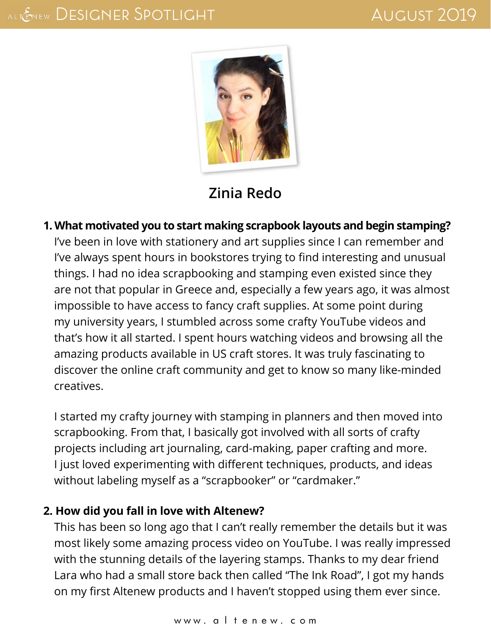

# **[Zinia Redo](http://ziniaredo.com/)**

**1. What motivated you to start making scrapbook layouts and begin stamping?** I've been in love with stationery and art supplies since I can remember and I've always spent hours in bookstores trying to find interesting and unusual things. I had no idea scrapbooking and stamping even existed since they are not that popular in Greece and, especially a few years ago, it was almost impossible to have access to fancy craft supplies. At some point during my university years, I stumbled across some crafty YouTube videos and that's how it all started. I spent hours watching videos and browsing all the amazing products available in US craft stores. It was truly fascinating to discover the online craft community and get to know so many like-minded creatives.

I started my crafty journey with stamping in planners and then moved into scrapbooking. From that, I basically got involved with all sorts of crafty projects including art journaling, card-making, paper crafting and more. I just loved experimenting with different techniques, products, and ideas without labeling myself as a "scrapbooker" or "cardmaker."

#### **2. How did you fall in love with Altenew?**

This has been so long ago that I can't really remember the details but it was most likely some amazing process video on YouTube. I was really impressed with the stunning details of the layering stamps. Thanks to my dear friend Lara who had a small store back then called "The Ink Road", I got my hands on my first Altenew products and I haven't stopped using them ever since.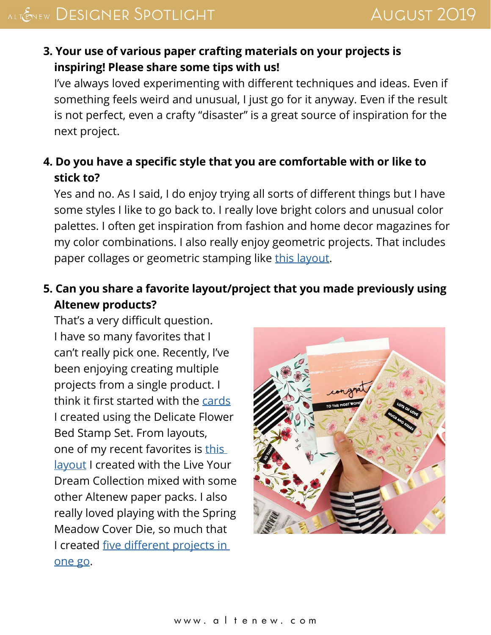#### **3. Your use of various paper crafting materials on your projects is inspiring! Please share some tips with us!**

I've always loved experimenting with different techniques and ideas. Even if something feels weird and unusual, I just go for it anyway. Even if the result is not perfect, even a crafty "disaster" is a great source of inspiration for the next project.

### **4. Do you have a specific style that you are comfortable with or like to stick to?**

Yes and no. As I said, I do enjoy trying all sorts of different things but I have some styles I like to go back to. I really love bright colors and unusual color palettes. I often get inspiration from fashion and home decor magazines for my color combinations. I also really enjoy geometric projects. That includes paper collages or geometric stamping like [this layout.](https://altenewscrapbook.com/2019/07/19/stamp-focus-bright-blossoms/)

### **5. Can you share a favorite layout/project that you made previously using Altenew products?**

That's a very difficult question. I have so many favorites that I can't really pick one. Recently, I've been enjoying creating multiple projects from a single product. I think it first started with the [cards](http://ziniaredo.com/altenew-april-2019-stamp-die-stencil-paper-pack-release-blog-hop-giveaway/) I created using the Delicate Flower Bed Stamp Set. From layouts, one of my recent favorites is this [layout](https://altenewscrapbook.com/2019/03/02/rainbow-layout-with-live-your-dream-scrapbook-collection/) I created with the Live Your Dream Collection mixed with some other Altenew paper packs. I also really loved playing with the Spring Meadow Cover Die, so much that I created [five different projects in](https://altenewscrapbook.com/2019/04/28/die-highlight-spring-meadow-cover-die/)  [one go](https://altenewscrapbook.com/2019/04/28/die-highlight-spring-meadow-cover-die/).